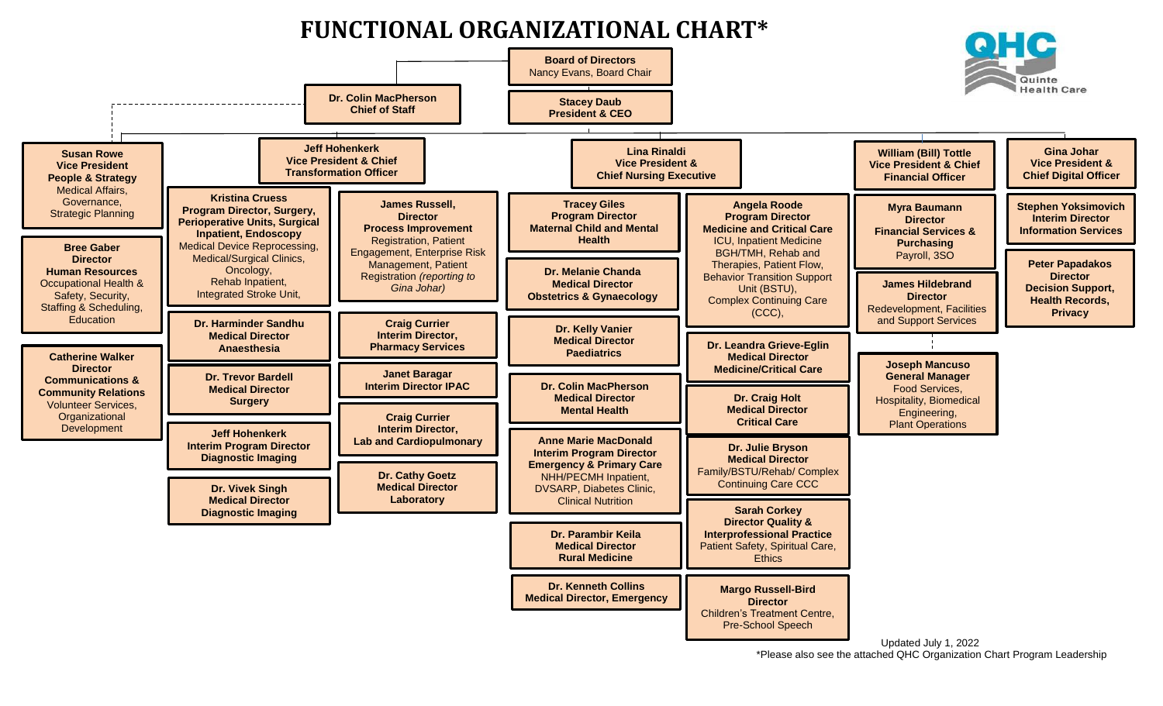## **FUNCTIONAL ORGANIZATIONAL CHART\***



\*Please also see the attached QHC Organization Chart Program Leadership